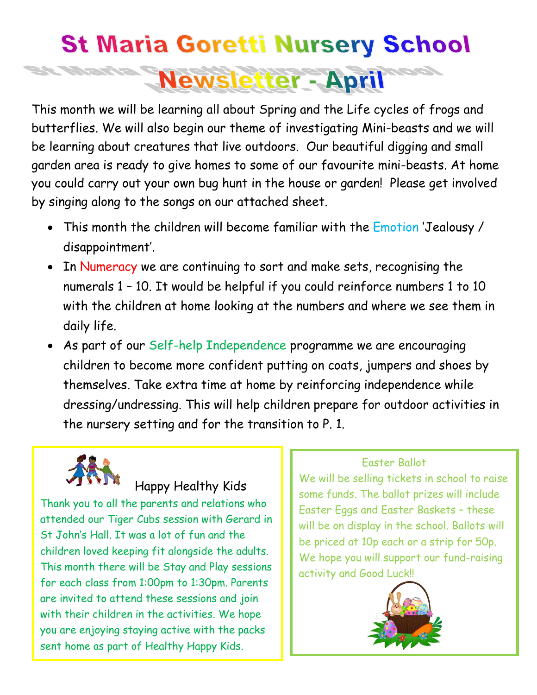## **St Maria Goretti Nursery School Newsletter - April**

This month we will be learning all about Spring and the Life cycles of frogs and butterflies. We will also begin our theme of investigating Mini-beasts and we will be learning about creatures that live outdoors. Our beautiful digging and small garden area is ready to give homes to some of our favourite mini-beasts. At home you could carry out your own bug hunt in the house or garden! Please get involved by singing along to the songs on our attached sheet.

- This month the children will become familiar with the Emotion 'Jealousy / disappointment'.
- In Numeracy we are continuing to sort and make sets, recognising the numerals 1 – 10. It would be helpful if you could reinforce numbers 1 to 10 with the children at home looking at the numbers and where we see them in daily life.
- As part of our Self-help Independence programme we are encouraging children to become more confident putting on coats, jumpers and shoes by themselves. Take extra time at home by reinforcing independence while dressing/undressing. This will help children prepare for outdoor activities in the nursery setting and for the transition to P. 1.



## Happy Healthy Kids

Thank you to all the parents and relations who attended our Tiger Cubs session with Gerard in St John's Hall. It was a lot of fun and the children loved keeping fit alongside the adults. This month there will be Stay and Play sessions for each class from 1:00pm to 1:30pm. Parents are invited to attend these sessions and join with their children in the activities. We hope you are enjoying staying active with the packs sent home as part of Healthy Happy Kids.

## Easter Ballot

We will be selling tickets in school to raise some funds. The ballot prizes will include Easter Eggs and Easter Baskets – these will be on display in the school. Ballots will be priced at 10p each or a strip for 50p. We hope you will support our fund-raising activity and Good Luck!!

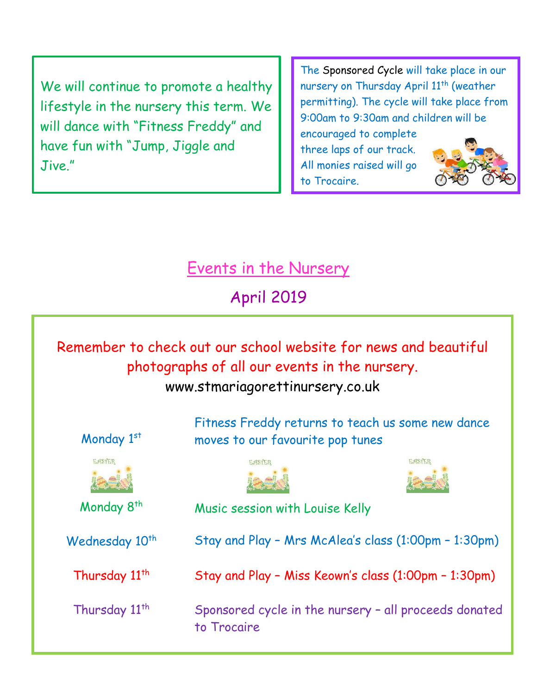We will continue to promote a healthy lifestyle in the nursery this term. We will dance with "Fitness Freddy" and have fun with "Jump, Jiggle and Jive."

The Sponsored Cycle will take place in our nursery on Thursday April 11<sup>th</sup> (weather permitting). The cycle will take place from 9:00am to 9:30am and children will be

encouraged to complete three laps of our track. All monies raised will go to Trocaire.



Events in the Nursery

April 2019

## Remember to check out our school website for news and beautiful photographs of all our events in the nursery. www.stmariagorettinursery.co.uk Fitness Freddy returns to teach us some new dance Monday 1st moves to our favourite pop tunes **EASTER** EASTER Monday 8<sup>th</sup> Music session with Louise Kelly Stay and Play – Mrs McAlea's class (1:00pm – 1:30pm) Wednesday 10<sup>th</sup> Thursday 11<sup>th</sup> Stay and Play – Miss Keown's class (1:00pm – 1:30pm) Thursday 11<sup>th</sup> Sponsored cycle in the nursery – all proceeds donated to Trocaire